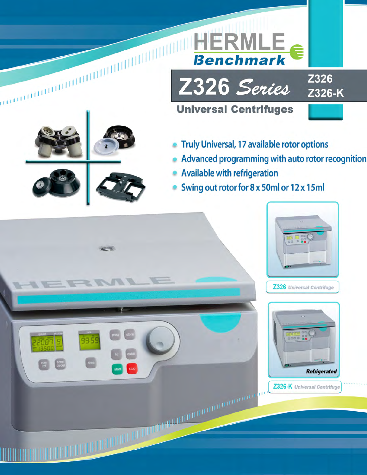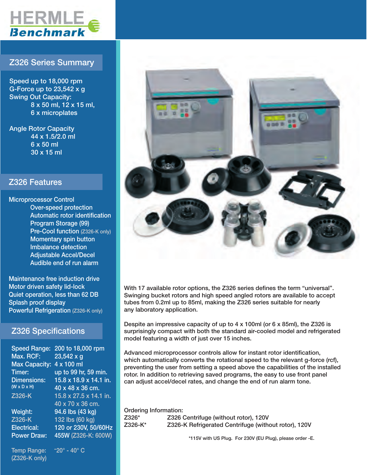

### Z326 Series Summary

Speed up to 18,000 rpm G-Force up to  $23,542 \times g$ Swing Out Capacity: 8 x 50 ml, 12 x 15 ml, 6 x microplates

Angle Rotor Capacity 44 x 1.5/2.0 ml 6 x 50 ml 30 x 15 ml

### Z326 Features

Microprocessor Control Over-speed protection Automatic rotor identification Program Storage (99) Pre-Cool function (Z326-K only) Momentary spin button Imbalance detection Adjustable Accel/Decel Audible end of run alarm

Maintenance free induction drive Motor driven safety lid-lock Quiet operation, less than 62 DB Splash proof display Powerful Refrigeration (Z326-K only)

### Z326 Specifications

| <b>Speed Range:</b>     | 200 to 18,000 rpm      |
|-------------------------|------------------------|
| Max. RCF:               | 23,542 x g             |
| <b>Max Capacity:</b>    | 4 x 100 ml             |
| Timer:                  | up to 99 hr, 59 min.   |
| <b>Dimensions:</b>      | 15.8 x 18.9 x 14.1 in. |
| $(W \times D \times H)$ | 40 x 48 x 36 cm.       |
| Z326-K                  | 15.8 x 27.5 x 14.1 in. |
|                         | 40 x 70 x 36 cm.       |
| Weight:                 | 94.6 lbs (43 kg)       |
| Z326-K                  | 132 lbs (60 kg)        |
| Electrical:             | 120 or 230V, 50/60Hz   |
| <b>Power Draw:</b>      | 455W (Z326-K: 600W)    |
|                         |                        |

Temp Range:  $-20^\circ$  - 40 $^\circ$  C (Z326-K only)



With 17 available rotor options, the Z326 series defines the term "universal". Swinging bucket rotors and high speed angled rotors are available to accept tubes from 0.2ml up to 85ml, making the Z326 series suitable for nearly any laboratory application.

Despite an impressive capacity of up to 4 x 100ml (or 6 x 85ml), the Z326 is surprisingly compact with both the standard air-cooled model and refrigerated model featuring a width of just over 15 inches.

Advanced microprocessor controls allow for instant rotor identification, which automatically converts the rotational speed to the relevant g-force (rcf), preventing the user from setting a speed above the capabilities of the installed rotor. In addition to retrieving saved programs, the easy to use front panel can adjust accel/decel rates, and change the end of run alarm tone.

Ordering Information: Z326\* Z326 Centrifuge (without rotor), 120V Z326-K\* Z326-K Refrigerated Centrifuge (without rotor), 120V

\*115V with US Plug. For 230V (EU Plug), please order -E.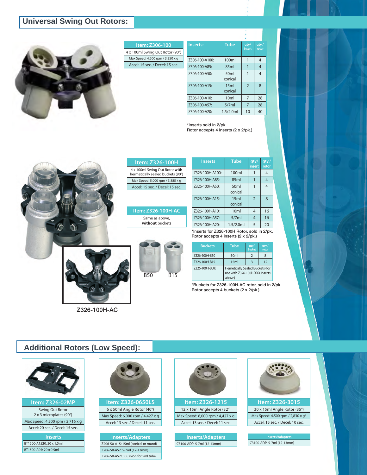## **Universal Swing Out Rotors:**



| Item: Z306-100                   |  |
|----------------------------------|--|
| 4 x 100ml Swing Out Rotor (90°)  |  |
| Max Speed: 4,500 rpm / 3,350 x q |  |
| Accel: 15 sec. / Decel: 15 sec.  |  |
|                                  |  |

| Inserts:       | <b>Tube</b>                 | qty/<br>insert | qty.<br>rotor  |
|----------------|-----------------------------|----------------|----------------|
| Z306-100-A100: | 100ml                       | 1              | $\overline{4}$ |
| Z306-100-A85:  | 85ml                        |                | $\overline{4}$ |
| Z306-100-A50:  | 50 <sub>ml</sub><br>conical |                | 4              |
| Z306-100-A15:  | 15ml<br>conical             | $\overline{2}$ | $\mathsf{R}$   |
| Z306-100-A10:  | 10 <sub>m</sub>             | 7              | 28             |
| Z306-100-A57:  | 5/7ml                       | 7              | 28             |
| Z306-100-A20:  | 1.5/2.0ml                   | 10             | 40             |

\*Inserts sold in 2/pk. Rotor accepts 4 inserts (2 x 2/pk.)



| <b>Item: Z326-100H</b>                                              |
|---------------------------------------------------------------------|
| 4 x 100ml Swing Out Rotor with<br>hermetically sealed buckets (90°) |
| Max Speed: 5,000 rpm / 3,885 x q                                    |
| Accel: 15 sec. / Decel: 15 sec.                                     |
|                                                                     |

#### **Item: Z326-100H-AC** Same as above, **without** buckets

B50 B15

| <b>Inserts</b>  | <b>Tube</b>                 | qty/<br>insert | qty./<br>rotor |
|-----------------|-----------------------------|----------------|----------------|
| Z326-100H-A100: | 100ml                       |                | 4              |
| Z326-100H-A85:  | 85ml                        |                | $\overline{4}$ |
| Z326-100H-A50:  | 50 <sub>ml</sub><br>conical |                | 4              |
| Z326-100H-A15:  | 15ml<br>conical             | $\overline{2}$ | 8              |
| Z326-100H-A10:  | 10 <sub>m</sub>             | $\overline{4}$ | 16             |
| Z326-100H-A57:  | 5/7ml                       | $\overline{4}$ | 16             |
| Z326-100H-A20:  | 1.5/2.0ml                   | 5              | 20             |

\*Inserts for Z326-100H Rotor, sold in 2/pk. Rotor accepts 4 inserts (2 x 2/pk.)

| <b>Buckets</b> | <b>Tube</b>                                                                 | qty/<br><b>Bucket</b> | qty.<br>rotor |
|----------------|-----------------------------------------------------------------------------|-----------------------|---------------|
| Z326-100H-B50  | 50 <sub>ml</sub>                                                            | $\mathcal{P}$         |               |
| Z326-100H-B15  | 15 <sub>ml</sub>                                                            |                       | 12            |
| Z326-100H-BUK  | Hemetically Sealed Buckets (for<br>use with Z326-100H-XXX inserts<br>above) |                       |               |

\*Buckets for Z326-100H-AC rotor, sold in 2/pk. Rotor accepts 4 buckets (2 x 2/pk.)

## **Additional Rotors (Low Speed):**

Z326-100H-AC



**Item: Z326-02MP** Swing Out Rotor 2 x 3 microplates (90°) Max Speed: 4,500 rpm / 2,716 x g Accel: 20 sec. / Decel: 15 sec.

**Inserts** BT1500-A1520: 20 x 1.5ml BT1500-A05: 20 x 0.5ml



Max Speed: 6,000 rpm / 4,427 x g Accel: 13 sec. / Decel: 11 sec.

**Inserts/Adapters** Z206-50-A15: 15ml (conical or round) Z206-50-A57: 5-7ml (12-13mm) Z206-50-A57C: Cushion for 5ml tube



12 x 15ml Angle Rotor (32°) Max Speed: 6,000 rpm / 4,427 x g Accel: 13 sec. / Decel: 11 sec.

**Inserts/Adapters** C3100-ADP: 5-7ml (12-13mm)